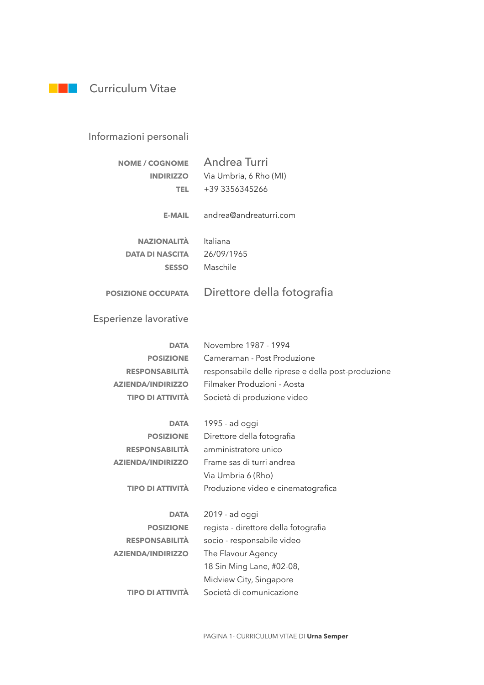

## Informazioni personali

| <b>NOME / COGNOME</b>     | Andrea Turri                                       |
|---------------------------|----------------------------------------------------|
| <b>INDIRIZZO</b>          | Via Umbria, 6 Rho (MI)                             |
| TEL.                      | +39 3356345266                                     |
|                           |                                                    |
| <b>E-MAIL</b>             | andrea@andreaturri.com                             |
|                           |                                                    |
| <b>NAZIONALITÀ</b>        | Italiana                                           |
| <b>DATA DI NASCITA</b>    | 26/09/1965                                         |
| <b>SESSO</b>              | Maschile                                           |
|                           |                                                    |
| <b>POSIZIONE OCCUPATA</b> | Direttore della fotografia                         |
|                           |                                                    |
| Esperienze lavorative     |                                                    |
|                           |                                                    |
| <b>DATA</b>               | Novembre 1987 - 1994                               |
| <b>POSIZIONE</b>          | Cameraman - Post Produzione                        |
| <b>RESPONSABILITÀ</b>     | responsabile delle riprese e della post-produzione |
| <b>AZIENDA/INDIRIZZO</b>  | Filmaker Produzioni - Aosta                        |
| <b>TIPO DI ATTIVITÀ</b>   | Società di produzione video                        |
|                           |                                                    |
| <b>DATA</b>               | 1995 - ad oggi                                     |
| <b>POSIZIONE</b>          | Direttore della fotografia                         |
| <b>RESPONSABILITÀ</b>     | amministratore unico                               |
| <b>AZIENDA/INDIRIZZO</b>  | Frame sas di turri andrea                          |
|                           | Via Umbria 6 (Rho)                                 |
| <b>TIPO DI ATTIVITÀ</b>   | Produzione video e cinematografica                 |
|                           |                                                    |
| <b>DATA</b>               | 2019 - ad oggi                                     |
| <b>POSIZIONE</b>          | regista - direttore della fotografia               |
| <b>RESPONSABILITÀ</b>     | socio - responsabile video                         |
| <b>AZIENDA/INDIRIZZO</b>  | The Flavour Agency                                 |
|                           | 18 Sin Ming Lane, #02-08,                          |
|                           | Midview City, Singapore                            |
| <b>TIPO DI ATTIVITÀ</b>   | Società di comunicazione                           |
|                           |                                                    |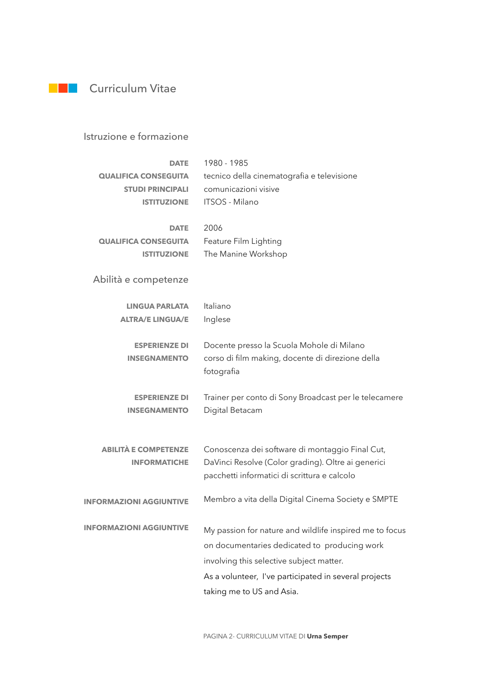## **Curriculum Vitae**

## Istruzione e formazione

| <b>DATE</b>                    | 1980 - 1985                                                                                           |
|--------------------------------|-------------------------------------------------------------------------------------------------------|
| <b>QUALIFICA CONSEGUITA</b>    | tecnico della cinematografia e televisione                                                            |
| <b>STUDI PRINCIPALI</b>        | comunicazioni visive                                                                                  |
| <b>ISTITUZIONE</b>             | ITSOS - Milano                                                                                        |
|                                |                                                                                                       |
| <b>DATE</b>                    | 2006                                                                                                  |
| <b>QUALIFICA CONSEGUITA</b>    | Feature Film Lighting                                                                                 |
| <b>ISTITUZIONE</b>             | The Manine Workshop                                                                                   |
|                                |                                                                                                       |
| Abilità e competenze           |                                                                                                       |
|                                |                                                                                                       |
| <b>LINGUA PARLATA</b>          | Italiano                                                                                              |
| <b>ALTRA/E LINGUA/E</b>        | Inglese                                                                                               |
|                                |                                                                                                       |
| <b>ESPERIENZE DI</b>           | Docente presso la Scuola Mohole di Milano                                                             |
| <b>INSEGNAMENTO</b>            | corso di film making, docente di direzione della                                                      |
|                                | fotografia                                                                                            |
|                                |                                                                                                       |
| <b>ESPERIENZE DI</b>           | Trainer per conto di Sony Broadcast per le telecamere                                                 |
| <b>INSEGNAMENTO</b>            | Digital Betacam                                                                                       |
|                                |                                                                                                       |
| <b>ABILITÀ E COMPETENZE</b>    |                                                                                                       |
| <b>INFORMATICHE</b>            | Conoscenza dei software di montaggio Final Cut,<br>DaVinci Resolve (Color grading). Oltre ai generici |
|                                | pacchetti informatici di scrittura e calcolo                                                          |
|                                |                                                                                                       |
| <b>INFORMAZIONI AGGIUNTIVE</b> | Membro a vita della Digital Cinema Society e SMPTE                                                    |
|                                |                                                                                                       |
| <b>INFORMAZIONI AGGIUNTIVE</b> | My passion for nature and wildlife inspired me to focus                                               |
|                                | on documentaries dedicated to producing work                                                          |
|                                |                                                                                                       |
|                                | involving this selective subject matter.                                                              |
|                                | As a volunteer, I've participated in several projects                                                 |
|                                |                                                                                                       |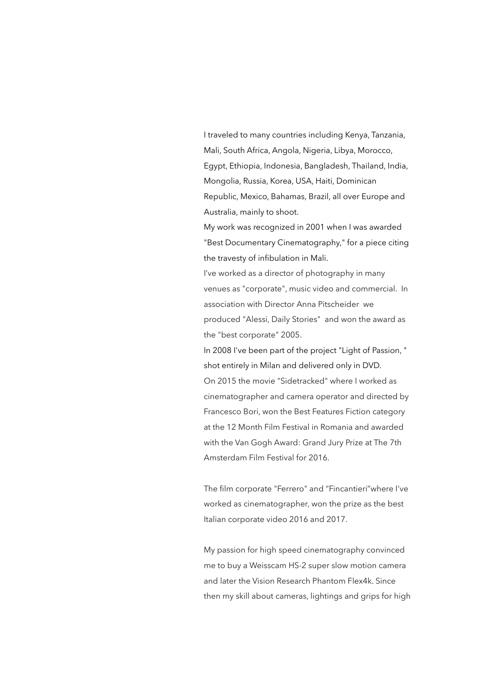I traveled to many countries including Kenya, Tanzania, Mali, South Africa, Angola, Nigeria, Libya, Morocco, Egypt, Ethiopia, Indonesia, Bangladesh, Thailand, India, Mongolia, Russia, Korea, USA, Haiti, Dominican Republic, Mexico, Bahamas, Brazil, all over Europe and Australia, mainly to shoot.

My work was recognized in 2001 when I was awarded "Best Documentary Cinematography," for a piece citing the travesty of infibulation in Mali.

I've worked as a director of photography in many venues as "corporate", music video and commercial. In association with Director Anna Pitscheider we produced "Alessi, Daily Stories" and won the award as the "best corporate" 2005.

In 2008 I've been part of the project "Light of Passion, " shot entirely in Milan and delivered only in DVD. On 2015 the movie "Sidetracked" where I worked as cinematographer and camera operator and directed by Francesco Bori, won the Best Features Fiction category at the 12 Month Film Festival in Romania and awarded with the Van Gogh Award: Grand Jury Prize at The 7th Amsterdam Film Festival for 2016.

The film corporate "Ferrero" and "Fincantieri"where I've worked as cinematographer, won the prize as the best Italian corporate video 2016 and 2017.

My passion for high speed cinematography convinced me to buy a Weisscam HS-2 super slow motion camera and later the Vision Research Phantom Flex4k. Since then my skill about cameras, lightings and grips for high